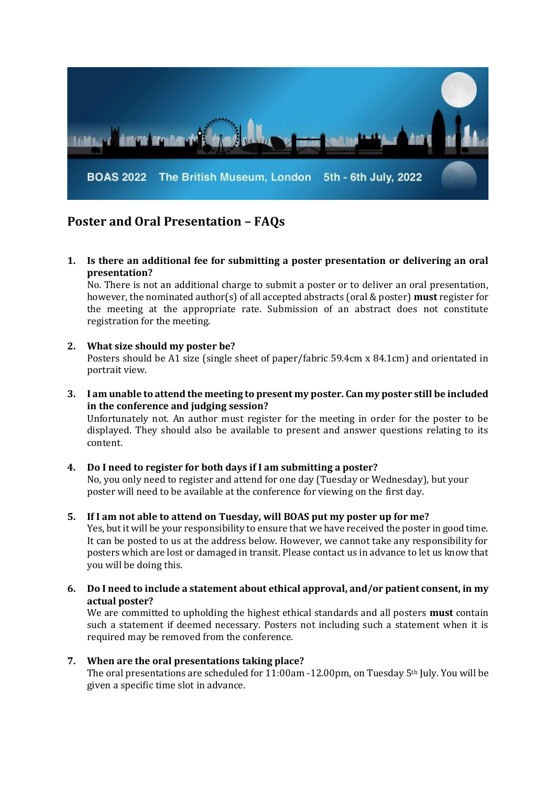

# **Poster and Oral Presentation – FAQs**

**1. Is there an additional fee for submitting a poster presentation or delivering an oral presentation?**

No. There is not an additional charge to submit a poster or to deliver an oral presentation, however, the nominated author(s) of all accepted abstracts (oral & poster) **must** register for the meeting at the appropriate rate. Submission of an abstract does not constitute registration for the meeting.

## **2. What size should my poster be?**

content.

Posters should be A1 size (single sheet of paper/fabric 59.4cm x 84.1cm) and orientated in portrait view.

**3. I am unable to attend the meeting to present my poster. Can my poster still be included in the conference and judging session?** Unfortunately not. An author must register for the meeting in order for the poster to be displayed. They should also be available to present and answer questions relating to its

## **4. Do I need to register for both days if I am submitting a poster?**  No, you only need to register and attend for one day (Tuesday or Wednesday), but your poster will need to be available at the conference for viewing on the first day.

## **5. If I am not able to attend on Tuesday, will BOAS put my poster up for me?**

Yes, but it will be your responsibility to ensure that we have received the poster in good time. It can be posted to us at the address below. However, we cannot take any responsibility for posters which are lost or damaged in transit. Please contact us in advance to let us know that you will be doing this.

**6. Do I need to include a statement about ethical approval, and/or patient consent, in my actual poster?**

We are committed to upholding the highest ethical standards and all posters **must** contain such a statement if deemed necessary. Posters not including such a statement when it is required may be removed from the conference.

## **7. When are the oral presentations taking place?**

The oral presentations are scheduled for 11:00am -12.00pm, on Tuesday 5th July. You will be given a specific time slot in advance.